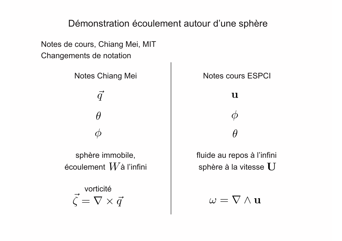## Démonstration écoulement autour d'une sphère

Changements de notation Notes de cours, Chiang Mei, MIT

 $\vec{q}$  $\vec{q}$  u  $\theta$   $\phi$  $\phi$  and  $\theta$ 

sphère immobile,  $\vert$  fluide au repos à l'infini écoulement  $W$ à l'infini

 $\vec{\zeta} = \nabla \times \vec{q}$ vorticité

Notes Chiang Mei Notes cours ESPCI

sphère à la vitesse  $\mathbf U$ 

 $\omega = \nabla \wedge \mathbf{u}$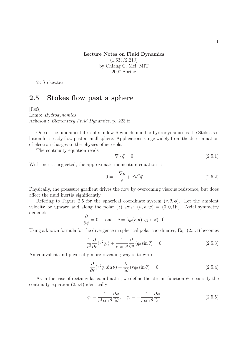1

Lecture Notes on Fluid Dynamics  $(1.63J/2.21J)$ by Chiang C. Mei, MIT 2007 Spring

2-5Stokes.tex

## 2.5 Stokes flow past a sphere

[Refs]

Lamb: Hydrodynamics Acheson : Elementary Fluid Dynamics, p. 223 ff

One of the fundamental results in low Reynolds-number hydrodynamics is the Stokes solution for steady flow past a small sphere. Applications range widely from the determination of electron charges to the physics of aerosols.

The continuity equation reads

$$
\nabla \cdot \vec{q} = 0 \tag{2.5.1}
$$

With inertia neglected, the approximate momentum equation is

$$
0 = -\frac{\nabla p}{\rho} + \nu \nabla^2 \vec{q}
$$
\n
$$
(2.5.2)
$$

Physically, the presssure gradient drives the flow by overcoming viscous resistence, but does affect the fluid inertia significantly.

Refering to Figure 2.5 for the spherical coordinate system  $(r, \theta, \phi)$ . Let the ambient velocity be upward and along the polar (z) axis:  $(u, v, w) = (0, 0, W)$ . Axial symmetry demands

$$
\frac{\partial}{\partial \phi} = 0
$$
, and  $\vec{q} = (q_r(r, \theta), q_\theta(r, \theta), 0)$ 

Using a known formula for the divergence in spherical polar coordinates, Eq. (2.5.1) becomes

$$
\frac{1}{r^2}\frac{\partial}{\partial r}(r^2q_r) + \frac{1}{r\sin\theta}\frac{\partial}{\partial \theta}(q_\theta\sin\theta) = 0
$$
\n(2.5.3)

An equivalent and physically more revealing way is to write

$$
\frac{\partial}{\partial r}(r^2q_r\sin\theta) + \frac{\partial}{\partial \theta}(rq_\theta\sin\theta) = 0
$$
\n(2.5.4)

As in the case of rectangular coordinates, we define the stream function  $\psi$  to satisify the continuity equation (2.5.4) identically

$$
q_r = \frac{1}{r^2 \sin \theta} \frac{\partial \psi}{\partial \theta}, \quad q_\theta = -\frac{1}{r \sin \theta} \frac{\partial \psi}{\partial r}
$$
(2.5.5)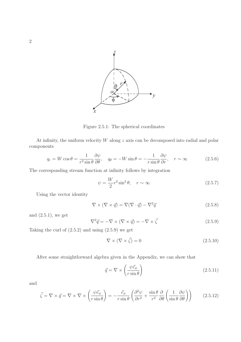

Figure 2.5.1: The spherical coordinates

At infinity, the uniform velocity  $W$  along  $z$  axis can be decomposed into radial and polar components

$$
q_r = W \cos \theta = \frac{1}{r^2 \sin \theta} \frac{\partial \psi}{\partial \theta}, \quad q_\theta = -W \sin \theta = -\frac{1}{r \sin \theta} \frac{\partial \psi}{\partial r}, \quad r \sim \infty \tag{2.5.6}
$$

The corresponding stream function at infinity follows by integration

$$
\psi = \frac{W}{2}r^2 \sin^2 \theta, \quad r \sim \infty \tag{2.5.7}
$$

Using the vector identity

$$
\nabla \times (\nabla \times \vec{q}) = \nabla (\nabla \cdot \vec{q}) - \nabla^2 \vec{q}
$$
\n(2.5.8)

and  $(2.5.1)$ , we get

$$
\nabla^2 \vec{q} = -\nabla \times (\nabla \times \vec{q}) = -\nabla \times \vec{\zeta}
$$
 (2.5.9)

Taking the curl of  $(2.5.2)$  and using  $(2.5.9)$  we get

$$
\nabla \times (\nabla \times \vec{\zeta}) = 0 \tag{2.5.10}
$$

After some straightforward algebra given in the Appendix, we can show that

$$
\vec{q} = \nabla \times \left(\frac{\psi \vec{e}_{\phi}}{r \sin \theta}\right) \tag{2.5.11}
$$

and

$$
\vec{\zeta} = \nabla \times \vec{q} = \nabla \times \nabla \times \left(\frac{\psi \vec{e}_{\phi}}{r \sin \theta}\right) = -\frac{\vec{e}_{\phi}}{r \sin \theta} \left(\frac{\partial^2 \psi}{\partial r^2} + \frac{\sin \theta}{r^2} \frac{\partial}{\partial \theta} \left(\frac{1}{\sin \theta} \frac{\partial \psi}{\partial \theta}\right)\right) \tag{2.5.12}
$$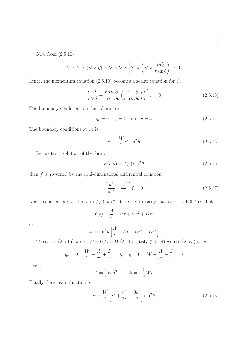Now from (2.5.10)

$$
\nabla \times \nabla \times (\nabla \times \vec{q}) = \nabla \times \nabla \times \left[ \nabla \times \left( \nabla \times \frac{\psi \vec{e}_{\phi}}{r \sin \theta} \right) \right] = 0
$$

hence, the momentum equation (2.5.10) becomes a scalar equation for  $\psi$ .

$$
\left(\frac{\partial^2}{\partial r^2} + \frac{\sin \theta}{r^2} \frac{\partial}{\partial \theta} \left(\frac{1}{\sin \theta} \frac{\partial}{\partial \theta}\right)\right)^2 \psi = 0 \tag{2.5.13}
$$

The boundary conditions on the sphere are

$$
q_r = 0 \quad q_\theta = 0 \quad \text{on} \quad r = a \tag{2.5.14}
$$

The boundary conditions at  $\infty$  is

$$
\psi \to \frac{W}{2} r^2 \sin^2 \theta \tag{2.5.15}
$$

Let us try a solution of the form:

$$
\psi(r,\theta) = f(r)\sin^2\theta\tag{2.5.16}
$$

then  $f$  is governed by the equi-dimensional differential equation:

$$
\left[\frac{d^2}{dr^2} - \frac{2}{r^2}\right]^2 f = 0\tag{2.5.17}
$$

whose solutions are of the form  $f(r) \propto r^n$ , It is easy to verify that  $n = -1, 1, 2, 4$  so that

$$
f(r) = \frac{A}{r} + Br + Cr^2 + Dr^4
$$

or

$$
\psi = \sin^2 \theta \left[ \frac{A}{r} + Br + Cr^2 + Dr^4 \right]
$$

To satisfy  $(2.5.15)$  we set  $D = 0, C = W/2$ . To satisfy  $(2.5.14)$  we use  $(2.5.5)$  to get

$$
q_r = 0 = \frac{W}{2} + \frac{A}{a^3} + \frac{B}{a} = 0, \quad q_\theta = 0 = W - \frac{A}{a^3} + \frac{B}{a} = 0
$$

Hence

$$
A = \frac{1}{4}Wa^3, \qquad B = -\frac{3}{4}Wa
$$

Finally the stream function is

$$
\psi = \frac{W}{2} \left[ r^2 + \frac{a^3}{2r} - \frac{3ar}{2} \right] \sin^2 \theta \tag{2.5.18}
$$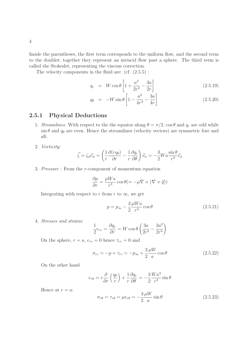Inside the parentheses, the first term corresponds to the uniform flow, and the second term to the doublet; together they represent an inviscid flow past a sphere. The third term is called the Stokeslet, representing the viscous correction.

The velocity components in the fluid are:  $(cf. (2.5.5)$ :

$$
q_r = W \cos \theta \left[ 1 + \frac{a^3}{2r^3} - \frac{3a}{2r} \right]
$$
 (2.5.19)

$$
q_{\theta} = -W\sin\theta \left[ 1 - \frac{a^3}{4r^3} - \frac{3a}{4r} \right]
$$
 (2.5.20)

## 2.5.1 Physical Deductions

- 1. Streamlines: With respect to the the equator along  $\theta = \pi/2$ ,  $\cos \theta$  and  $q_r$  are odd while  $\sin \theta$  and  $q_{\theta}$  are even. Hence the streamlines (velocity vectors) are symmetric fore and aft.
- 2. Vorticity:

$$
\vec{\zeta} = \zeta_{\phi} \vec{e}_{\phi} = \left(\frac{1}{r} \frac{\partial (rq_{\theta})}{\partial r} - \frac{1}{r} \frac{\partial q_r}{\partial \theta}\right) \vec{e}_{\phi} = -\frac{3}{2} W a \frac{\sin \theta}{r^2} \vec{e}_{\phi}
$$

3. Pressure : From the r-component of momentum equation

$$
\frac{\partial p}{\partial r} = \frac{\mu Wa}{r^3} \cos \theta (= -\mu \nabla \times (\nabla \times \vec{q}))
$$

Integrating with respect to r from r to  $\infty$ , we get

$$
p = p_{\infty} - \frac{3}{2} \frac{\mu W a}{r^3} \cos \theta \qquad (2.5.21)
$$

4. Stresses and strains:

$$
\frac{1}{2}e_{rr} = \frac{\partial q_r}{\partial r} = W \cos \theta \left(\frac{3a}{2r^2} - \frac{3a^3}{2r^4}\right)
$$

On the sphere,  $r = a$ ,  $e_{rr} = 0$  hence  $\tau_{rr} = 0$  and

$$
\sigma_{rr} = -p + \tau_{rr} = -p_{\infty} + \frac{3}{2} \frac{\mu W}{a} \cos \theta \qquad (2.5.22)
$$

On the other hand

$$
e_{r\theta} = r\frac{\partial}{\partial r}\left(\frac{q_{\theta}}{r}\right) + \frac{1}{r}\frac{\partial q_{r}}{\partial \theta} = -\frac{3}{2}\frac{Wa^{3}}{r^{4}}\sin\theta
$$

Hence at  $r = a$ :

$$
\sigma_{r\theta} = \tau_{r\theta} = \mu e_{r\theta} = -\frac{3}{2} \frac{\mu W}{a} \sin \theta \qquad (2.5.23)
$$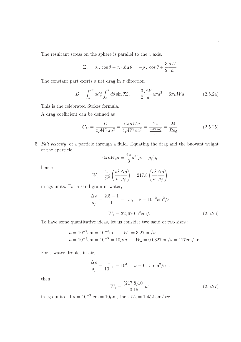The resultant stress on the sphere is parallel to the z axis.

$$
\Sigma_z = \sigma_{rr} \cos \theta - \tau_{r\theta} \sin \theta = -p_{\infty} \cos \theta + \frac{3}{2} \frac{\mu W}{a}
$$

The constant part exerts a net drag in z direction

$$
D = \int_{o}^{2\pi} a d\phi \int_{o}^{\pi} d\theta \sin \theta \Sigma_{z} = \frac{3}{2} \frac{\mu W}{a} 4\pi a^{2} = 6\pi \mu W a \qquad (2.5.24)
$$

This is the celebrated Stokes formula.

A drag coefficient can be defined as

$$
C_D = \frac{D}{\frac{1}{2}\rho W^2 \pi a^2} = \frac{6\pi \mu W a}{\frac{1}{2}\rho W^2 \pi a^2} = \frac{24}{\frac{\rho W (2a)}{\mu}} = \frac{24}{Re_d}
$$
 (2.5.25)

5. Fall velocity of a particle through a fluid. Equating the drag and the buoyant weight of the eparticle

$$
6\pi\mu W_o a = \frac{4\pi}{3}a^3(\rho_s - \rho_f)g
$$

hence

$$
W_o = \frac{2}{9}g\left(\frac{a^2}{\nu}\frac{\Delta\rho}{\rho_f}\right) = 217.8\left(\frac{a^2}{\nu}\frac{\Delta\rho}{\rho_f}\right)
$$

in cgs units. For a sand grain in water,

$$
\frac{\Delta \rho}{\rho_f} = \frac{2.5 - 1}{1} = 1.5, \quad \nu = 10^{-2} \text{cm}^2/s
$$

$$
W_o = 32,670 \ a^2 \text{cm}/s
$$
(2.5.26)

To have some quantitative ideas, let us consider two sand of two sizes :

$$
a = 10^{-2}
$$
cm  $= 10^{-4}$ m :  $W_o = 3.27$ cm/s;  
\n $a = 10^{-3}$ cm  $= 10^{-5} = 10 \mu m$ ,  $W_o = 0.0327$ cm/s  $= 117$ cm/hr

For a water droplet in air,

$$
\frac{\Delta \rho}{\rho_f} = \frac{1}{10^{-3}} = 10^3, \quad \nu = 0.15 \text{ cm}^2/\text{sec}
$$

then

$$
W_o = \frac{(217.8)10^3}{0.15}a^2\tag{2.5.27}
$$

in cgs units. If  $a = 10^{-3}$  cm = 10 $\mu$ m, then  $W_o = 1.452$  cm/sec.